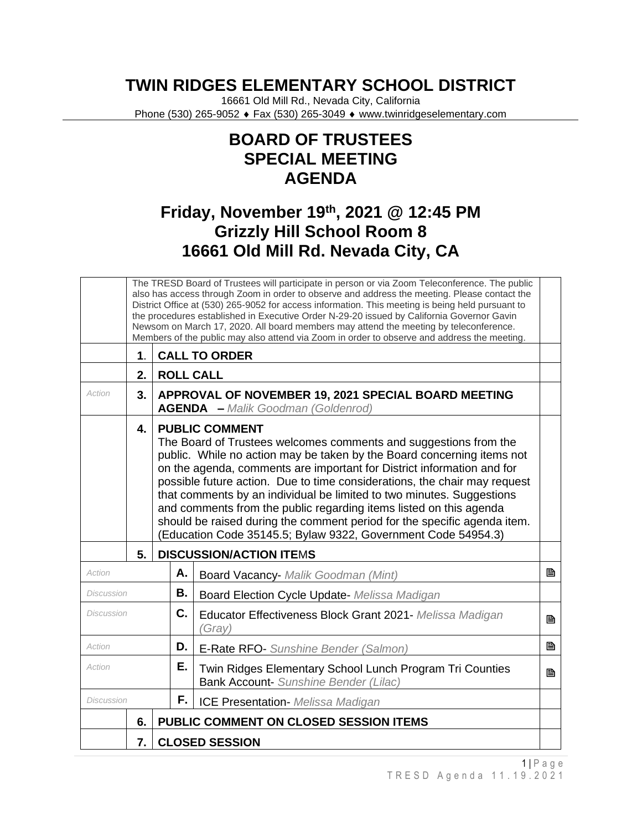## **TWIN RIDGES ELEMENTARY SCHOOL DISTRICT**

16661 Old Mill Rd., Nevada City, California Phone (530) 265-9052 ♦ Fax (530) 265-3049 ♦ www.twinridgeselementary.com

## **BOARD OF TRUSTEES SPECIAL MEETING AGENDA**

## **Friday, November 19th, 2021 @ 12:45 PM Grizzly Hill School Room 8 16661 Old Mill Rd. Nevada City, CA**

|                   | The TRESD Board of Trustees will participate in person or via Zoom Teleconference. The public<br>also has access through Zoom in order to observe and address the meeting. Please contact the<br>District Office at (530) 265-9052 for access information. This meeting is being held pursuant to<br>the procedures established in Executive Order N-29-20 issued by California Governor Gavin<br>Newsom on March 17, 2020. All board members may attend the meeting by teleconference.<br>Members of the public may also attend via Zoom in order to observe and address the meeting. |                                                                                                                                                                                                                                                                                                                                                                                                                                                                                                                                                                                                                        |                                                                                                   |   |  |  |  |  |
|-------------------|----------------------------------------------------------------------------------------------------------------------------------------------------------------------------------------------------------------------------------------------------------------------------------------------------------------------------------------------------------------------------------------------------------------------------------------------------------------------------------------------------------------------------------------------------------------------------------------|------------------------------------------------------------------------------------------------------------------------------------------------------------------------------------------------------------------------------------------------------------------------------------------------------------------------------------------------------------------------------------------------------------------------------------------------------------------------------------------------------------------------------------------------------------------------------------------------------------------------|---------------------------------------------------------------------------------------------------|---|--|--|--|--|
|                   | 1.                                                                                                                                                                                                                                                                                                                                                                                                                                                                                                                                                                                     |                                                                                                                                                                                                                                                                                                                                                                                                                                                                                                                                                                                                                        | <b>CALL TO ORDER</b>                                                                              |   |  |  |  |  |
|                   | 2.                                                                                                                                                                                                                                                                                                                                                                                                                                                                                                                                                                                     |                                                                                                                                                                                                                                                                                                                                                                                                                                                                                                                                                                                                                        | <b>ROLL CALL</b>                                                                                  |   |  |  |  |  |
| Action            | 3.                                                                                                                                                                                                                                                                                                                                                                                                                                                                                                                                                                                     | APPROVAL OF NOVEMBER 19, 2021 SPECIAL BOARD MEETING<br><b>AGENDA</b> - Malik Goodman (Goldenrod)                                                                                                                                                                                                                                                                                                                                                                                                                                                                                                                       |                                                                                                   |   |  |  |  |  |
|                   | 4.                                                                                                                                                                                                                                                                                                                                                                                                                                                                                                                                                                                     | <b>PUBLIC COMMENT</b><br>The Board of Trustees welcomes comments and suggestions from the<br>public. While no action may be taken by the Board concerning items not<br>on the agenda, comments are important for District information and for<br>possible future action. Due to time considerations, the chair may request<br>that comments by an individual be limited to two minutes. Suggestions<br>and comments from the public regarding items listed on this agenda<br>should be raised during the comment period for the specific agenda item.<br>(Education Code 35145.5; Bylaw 9322, Government Code 54954.3) |                                                                                                   |   |  |  |  |  |
|                   | 5.                                                                                                                                                                                                                                                                                                                                                                                                                                                                                                                                                                                     | <b>DISCUSSION/ACTION ITEMS</b>                                                                                                                                                                                                                                                                                                                                                                                                                                                                                                                                                                                         |                                                                                                   |   |  |  |  |  |
| Action            |                                                                                                                                                                                                                                                                                                                                                                                                                                                                                                                                                                                        | Α.                                                                                                                                                                                                                                                                                                                                                                                                                                                                                                                                                                                                                     | Board Vacancy- Malik Goodman (Mint)                                                               | P |  |  |  |  |
| Discussion        |                                                                                                                                                                                                                                                                                                                                                                                                                                                                                                                                                                                        | В.                                                                                                                                                                                                                                                                                                                                                                                                                                                                                                                                                                                                                     | Board Election Cycle Update- Melissa Madigan                                                      |   |  |  |  |  |
| Discussion        | Educator Effectiveness Block Grant 2021- Melissa Madigan<br>(Gray)                                                                                                                                                                                                                                                                                                                                                                                                                                                                                                                     | B                                                                                                                                                                                                                                                                                                                                                                                                                                                                                                                                                                                                                      |                                                                                                   |   |  |  |  |  |
| Action            |                                                                                                                                                                                                                                                                                                                                                                                                                                                                                                                                                                                        | D.                                                                                                                                                                                                                                                                                                                                                                                                                                                                                                                                                                                                                     | <b>E-Rate RFO-</b> Sunshine Bender (Salmon)                                                       | B |  |  |  |  |
| Action<br>Ε.      |                                                                                                                                                                                                                                                                                                                                                                                                                                                                                                                                                                                        |                                                                                                                                                                                                                                                                                                                                                                                                                                                                                                                                                                                                                        | Twin Ridges Elementary School Lunch Program Tri Counties<br>Bank Account- Sunshine Bender (Lilac) | 昏 |  |  |  |  |
| <b>Discussion</b> |                                                                                                                                                                                                                                                                                                                                                                                                                                                                                                                                                                                        | F.                                                                                                                                                                                                                                                                                                                                                                                                                                                                                                                                                                                                                     | <b>ICE Presentation- Melissa Madigan</b>                                                          |   |  |  |  |  |
|                   | 6.                                                                                                                                                                                                                                                                                                                                                                                                                                                                                                                                                                                     | PUBLIC COMMENT ON CLOSED SESSION ITEMS                                                                                                                                                                                                                                                                                                                                                                                                                                                                                                                                                                                 |                                                                                                   |   |  |  |  |  |
|                   | 7.                                                                                                                                                                                                                                                                                                                                                                                                                                                                                                                                                                                     | <b>CLOSED SESSION</b>                                                                                                                                                                                                                                                                                                                                                                                                                                                                                                                                                                                                  |                                                                                                   |   |  |  |  |  |